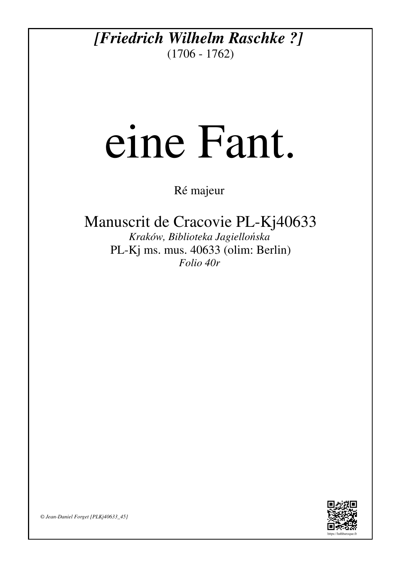## *[Friedrich Wilhelm Raschke ?]* (1706 - 1762)

## eine Fant.

Ré majeur

## Manuscrit de Cracovie PL-Kj40633

*Kraków, Biblioteka Jagiellońska* PL-Kj ms. mus. 40633 (olim: Berlin) *Folio 40r*



*© Jean-Daniel Forget [PLKj40633\_45]*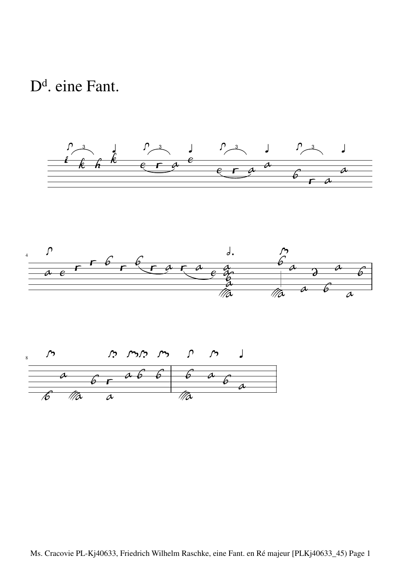D<sup>d</sup>. eine Fant.